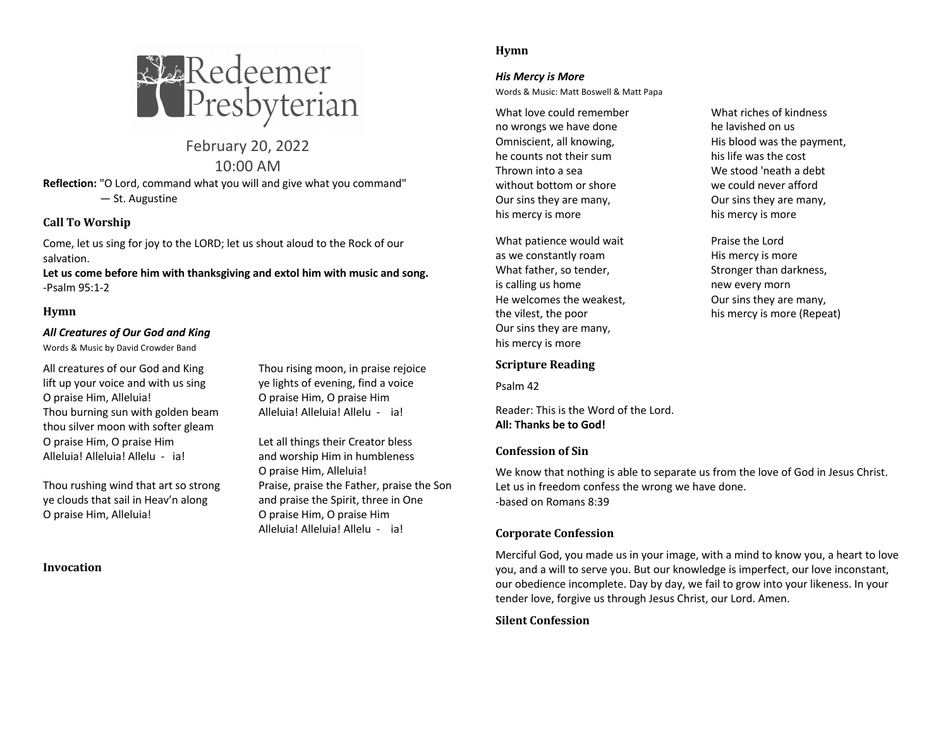

February 20, 2022 10:00 AM

**Reflection:** "O Lord, command what you will and give what you command" — St. Augustine

## **Call To Worship**

Come, let us sing for joy to the LORD; let us shout aloud to the Rock of our salvation.

**Let us come before him with thanksgiving and extol him with music and song.** -Psalm 95:1-2

#### **Hymn**

#### *All Creatures of Our God and King*

Words & Music by David Crowder Band

lift up your voice and with us sing ye lights of evening, find a voice O praise Him, Alleluia! O praise Him, O praise Him Thou burning sun with golden beam Alleluia! Alleluia! Allelu - ia! thou silver moon with softer gleam O praise Him, O praise Him Let all things their Creator bless Alleluia! Alleluia! Allelu - ia! and worship Him in humbleness

ye clouds that sail in Heav'n along and praise the Spirit, three in One O praise Him, Alleluia! O praise Him, O praise Him

**Invocation**

All creatures of our God and King Thou rising moon, in praise rejoice

O praise Him, Alleluia! Thou rushing wind that art so strong Praise, praise the Father, praise the Son Alleluia! Alleluia! Allelu - ia!

#### **Hymn**

*His Mercy is More* Words & Music: Matt Boswell & Matt Papa

no wrongs we have done he lavished on us he counts not their sum<br>
his life was the cost Thrown into a sea We stood 'neath a debt without bottom or shore we could never afford Our sins they are many, Our sins they are many, his mercy is more his mercy is more

What patience would wait **Praise the Lord** as we constantly roam as we constantly roam What father, so tender, Superson Stronger than darkness, is calling us home new every morn He welcomes the weakest, **Example 20 Your Strategier Weakest**, and Dur sins they are many, the vilest, the poor his mercy is more (Repeat) Our sins they are many, his mercy is more

#### **Scripture Reading**

Psalm 42

Reader: This is the Word of the Lord. **All: Thanks be to God!**

#### **Confession of Sin**

We know that nothing is able to separate us from the love of God in Jesus Christ. Let us in freedom confess the wrong we have done. -based on Romans 8:39

## **Corporate Confession**

Merciful God, you made us in your image, with a mind to know you, a heart to love you, and a will to serve you. But our knowledge is imperfect, our love inconstant, our obedience incomplete. Day by day, we fail to grow into your likeness. In your tender love, forgive us through Jesus Christ, our Lord. Amen.

#### **Silent Confession**

What love could remember What riches of kindness Omniscient, all knowing, The His blood was the payment,